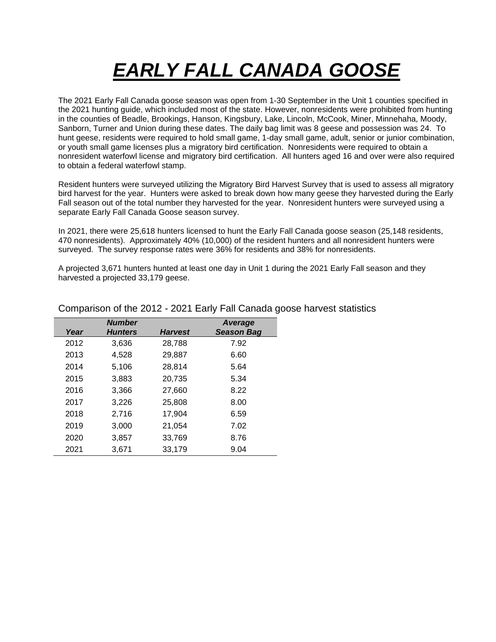## *EARLY FALL CANADA GOOSE*

The 2021 Early Fall Canada goose season was open from 1-30 September in the Unit 1 counties specified in the 2021 hunting guide, which included most of the state. However, nonresidents were prohibited from hunting in the counties of Beadle, Brookings, Hanson, Kingsbury, Lake, Lincoln, McCook, Miner, Minnehaha, Moody, Sanborn, Turner and Union during these dates. The daily bag limit was 8 geese and possession was 24. To hunt geese, residents were required to hold small game, 1-day small game, adult, senior or junior combination, or youth small game licenses plus a migratory bird certification. Nonresidents were required to obtain a nonresident waterfowl license and migratory bird certification. All hunters aged 16 and over were also required to obtain a federal waterfowl stamp.

Resident hunters were surveyed utilizing the Migratory Bird Harvest Survey that is used to assess all migratory bird harvest for the year. Hunters were asked to break down how many geese they harvested during the Early Fall season out of the total number they harvested for the year. Nonresident hunters were surveyed using a separate Early Fall Canada Goose season survey.

In 2021, there were 25,618 hunters licensed to hunt the Early Fall Canada goose season (25,148 residents, 470 nonresidents). Approximately 40% (10,000) of the resident hunters and all nonresident hunters were surveyed. The survey response rates were 36% for residents and 38% for nonresidents.

A projected 3,671 hunters hunted at least one day in Unit 1 during the 2021 Early Fall season and they harvested a projected 33,179 geese.

|      | <b>Number</b>  |                | Average           |
|------|----------------|----------------|-------------------|
| Year | <b>Hunters</b> | <b>Harvest</b> | <b>Season Bag</b> |
| 2012 | 3.636          | 28,788         | 7.92              |
| 2013 | 4.528          | 29,887         | 6.60              |
| 2014 | 5,106          | 28,814         | 5.64              |
| 2015 | 3.883          | 20.735         | 5.34              |
| 2016 | 3,366          | 27,660         | 8.22              |
| 2017 | 3.226          | 25,808         | 8.00              |
| 2018 | 2,716          | 17,904         | 6.59              |
| 2019 | 3.000          | 21.054         | 7.02              |
| 2020 | 3.857          | 33.769         | 8.76              |
| 2021 | 3,671          | 33,179         | 9.04              |

Comparison of the 2012 - 2021 Early Fall Canada goose harvest statistics